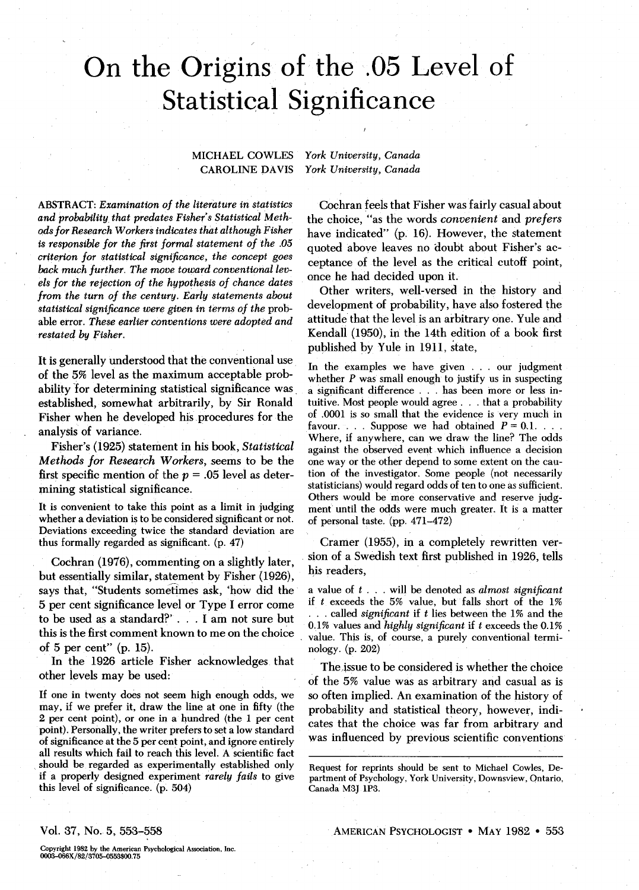# On the Origins of the .05 Level of Statistical Significance

#### MICHAEL COWLES CAROLINE DAVIS

*fork University, Canada York University, Canada*

ABSTRACT: *Examination of the literature in statistics and probability that predates Fisher's Statistical Methods for Research Workers indicates that although Fisher is responsible for the first formal statement of the .05 criterion for statistical significance, the concept goes back much further. The move toward conventional levels for the rejection of the hypothesis of chance dates from the turn of the century. Early statements about statistical significance were given in terms of the* probable error. *These earlier conventions were adopted and restated by Fisher.*

It is generally understood that the conventional use of the 5% level as the maximum acceptable probability for determining statistical significance was established, somewhat arbitrarily, by Sir Ronald Fisher when he developed his procedures for the analysis of variance.

Fisher's (1925) statement in his book, *Statistical Methods for Research Workers,* seems to be the first specific mention of the  $p = .05$  level as determining statistical significance.

It is convenient to take this point as a limit in judging whether a deviation is to be considered significant or not. Deviations exceeding twice the standard deviation are thus formally regarded as significant, (p. 47)

Cochran (1976), commenting on a slightly later, but essentially similar, statement by Fisher (1926), says that, "Students sometimes ask, 'how did the 5 per cent significance level or Type I error come to be used as a standard?' .. . I am not sure but this is the first comment known to me on the choice of 5 per cent" (p. 15).

In the 1926 article Fisher acknowledges that other levels may be used:

If one in twenty does not seem high enough odds, we may, if we prefer it, draw the line at one in fifty (the 2 per cent point), or one in a hundred (the 1 per cent point). Personally, the writer prefers to set a low standard of significance at the 5 per cent point, and ignore entirely all results which fail to reach this level. A scientific fact should be regarded as experimentally established only if a properly designed experiment *rarely fails* to give this level of significance, (p. 504)

Cochran feels that Fisher was fairly casual about the choice, "as the words *convenient and prefers* have indicated" (p. 16). However, the statement quoted above leaves no doubt about Fisher's acceptance of the level as the critical cutoff point, once he had decided upon it.

Other writers, well-versed in the history and development of probability, have also fostered the attitude that the level is an arbitrary one. Yule and Kendall (1950), in the 14th edition of a book first published by Yule in 1911, state,

In the examples we have given . . . our judgment whether *P* was small enough to justify us in suspecting a significant difference . . . has been more or less intuitive. Most people would agree . . . that a probability of .0001 is so small that the evidence is very much in favour. . . . Suppose we had obtained  $P = 0.1$ . . . . Where, if anywhere, can we draw the line? The odds against the observed event which influence a decision one way or the other depend to some extent on the caution of the investigator. Some people (not necessarily statisticians) would regard odds of ten to one as sufficient. Others would be more conservative and reserve judgment until the odds were much greater. It is a matter of personal taste, (pp. 471-472)

Cramer (1955), in a completely rewritten version of a Swedish text first published in 1926, tells his readers,

a value of ( ... will be denoted as *almost significant* if *t* exceeds the 5% value, but falls short of the 1% . . . called *significant* if *t* lies between the 1% and the 0.1% values and *highly significant* if *t* exceeds the 0.1% value. This is, of course, a purely conventional terminology, (p. 202)

The issue to be considered is whether the choice of the 5% value was as arbitrary and casual as is so often implied. An examination of the history of probability and statistical theory, however, indicates that the choice was far from arbitrary and was influenced by previous scientific conventions

Vol. 37, No. 5, 553-558

Copyright 1982 by the American Psychological Association, Inc. 0003-066X/82/3705-0553\$00.75

Request for reprints should be sent to Michael Cowles, Department of Psychology, York University, Downsview, Ontario, Canada M3J 1P3.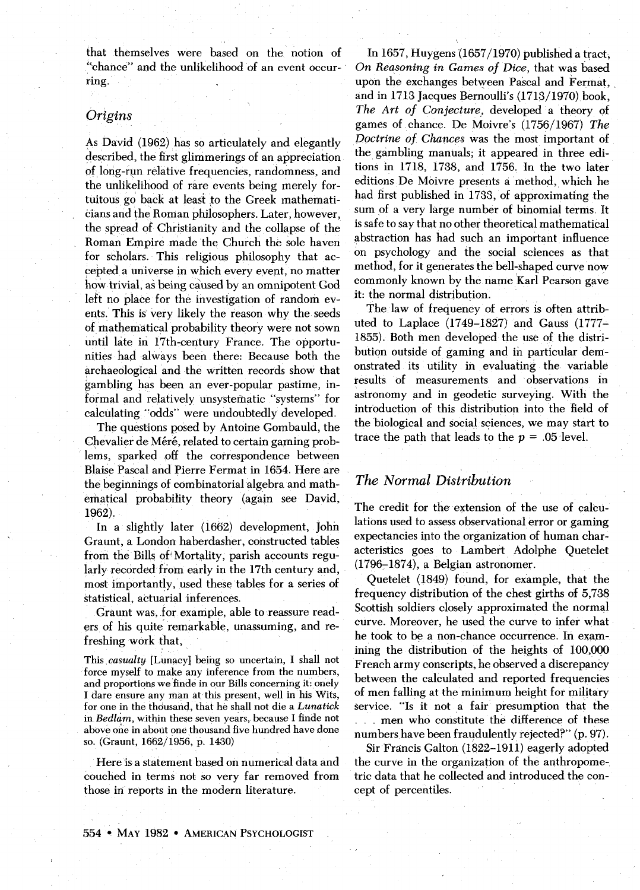that themselves were based on the notion of "chance" and the unlikelihood of an event occurring.

### *Origins*

As David (1962) has so articulately and elegantly described, the first glimmerings of an appreciation pf long-run relative frequencies, randomness, and the unlikelihood of rare events being merely fortuitous go back at least to the Greek mathematicians and the Roman philosophers. Later, however, the spread of Christianity and the collapse of the Roman Empire made the Church the sole haven for scholars. This religious philosophy that accepted a universe in which every event, no matter how trivial, *as* being caused by an omnipotent God left no place for the investigation of random events. This is very likely the reason why the seeds of mathematical probability theory were not sown until late in 17th-century France. The opportunities had always been there: Because both the archaeological and the written records show that gambling has been an ever-popular pastime, informal and relatively unsystematic "systems" for calculating "odds" were undoubtedly developed.

The questions posed by Antoine Gombauld, the Chevalier de Méré, related to certain gaming problems, sparked off the correspondence between Blaise Pascal and Pierre Fermat in 1654. Here are the beginnings of combinatorial algebra and mathematical probability theory (again see David, 1962).

In a slightly later (1662) development, John Graunt, a London haberdasher, constructed tables from the Bills of'Mortality, parish accounts regularly recorded from early in the 17th century and, most importantly, used these tables for a series of statistical, actuarial inferences.

Graunt was, for example, able to reassure readers of his quite remarkable, unassuming, and refreshing work that,

This *casualty* [Lunacy] being so uncertain, I shall not force myself to make any inference from the numbers, and proportions we finde in our Bills concerning it: onely I dare ensure any man at this present, well in his Wits, for one in the thousand, that he shall not die a *Lunatick in Bedlam,* within these seven years, because I finde not above one in about one thousand five hundred have done so. (Graunt, 1662/1956, p. 1430)

Here is a statement based on numerical data and couched in terms not so very far removed from those in reports in the modern literature.

In 1657, Huygens (1657/1970) published a tract, *On Reasoning in Games of Dice,* that was based upon the exchanges between Pascal and Fermat, and in 1713 Jacques Bernoulli's (1713/1970) book, *The Art of Conjecture,* developed a theory of games of chance. De Moivre's (1756/1967) *The Doctrine of. Chances* was the most important of the gambling manuals; it appeared in three editions in 1718, 1738, and 1756. In the two later editions De Moivre presents a method, which he had first published in 1733, of approximating the sum of a very large number of binomial terms. It is safe to say that no other theoretical mathematical abstraction has had such an important influence on psychology and the social sciences as that method, for it generates the bell-shaped curve now commonly known by the name Karl Pearson gave it: the normal distribution.

The law of frequency of errors is often attributed to Laplace (1749-1827) and Gauss (1777- 1855). Both men developed the use of the distribution outside of gaming and in particular demonstrated its utility in evaluating the variable results of measurements and observations in astronomy and in geodetic surveying. With the introduction of this distribution into the field of the biological and social sciences, we may start to trace the path that leads to the *p =* .05 level.

## *The Normal Distribution*

The credit for the extension of the use of calculations used to assess observational error or gaming expectancies into the organization of human characteristics goes to Lambert Adolphe Quetelet (1796-1874), a Belgian astronomer.

Quetelet (1849) found, for example, that the frequency distribution of the chest girths of 5,738 Scottish soldiers closely approximated the normal curve. Moreover, he used the curve to infer what he took to be a non-chance occurrence. In examining the distribution of the heights of 100,000 French army conscripts, he observed a discrepancy between the calculated and reported frequencies of men falling at the minimum height for military service. "Is it not a fair presumption that the . . . men who constitute the difference of these numbers have been fraudulently rejected?" (p. 97).

Sir Francis Galton (1822-1911) eagerly adopted the curve in the organization of the anthropometric data that he collected and introduced the concept of percentiles.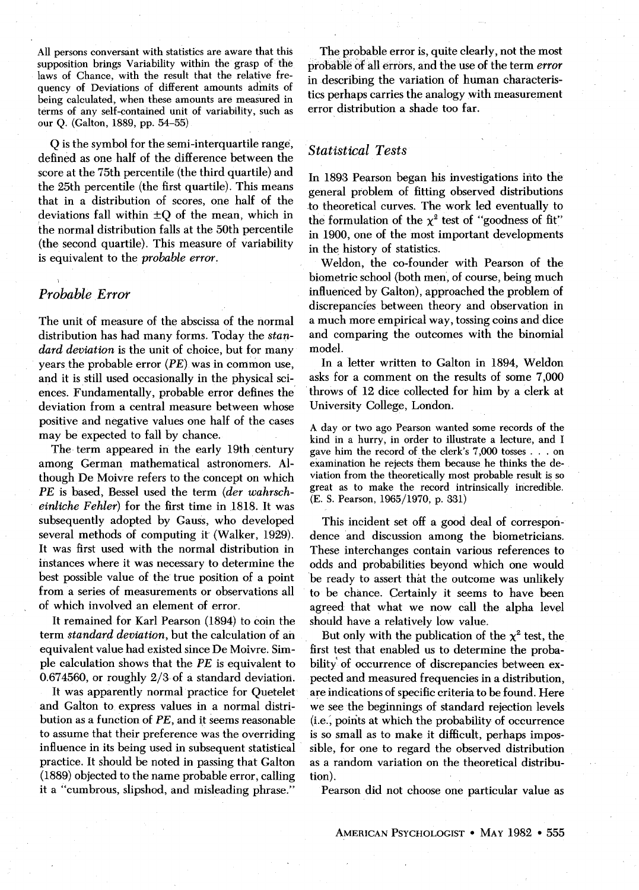All persons conversant with statistics are aware that this supposition brings Variability within the grasp of the laws of Chance, with the result that the relative frequency of Deviations of different amounts admits of being calculated, when these amounts are measured in terms of any self-contained unit of variability, such as our Q. (Galton, 1889, pp. 54-55)

Q is the symbol for the semi-interquartile range, defined as one half of the difference between the score at the 75th percentile (the third quartile) and the 25th percentile (the first quartile). This means that in a distribution of scores, one half of the deviations fall within ±Q of the mean, which in the normal distribution falls at the 50th percentile (the second quartile). This measure of variability is equivalent to the *probable error.*

### *Probable Error*

*\*

The unit of measure of the abscissa of the normal distribution has had many forms. Today the *standard deviation* is the unit of choice, but for many years the probable error (PE) was in common use, and it is still used occasionally in the physical sciences. Fundamentally, probable error defines the deviation from a central measure between whose positive and negative values one half of the cases may be expected to fall by chance.

The term appeared in the early 19th century among German mathematical astronomers. Although De Moivre refers to the concept on which *PE* is based, Bessel used the term *(der wahrscheinliche Fehler)* for the first time in 1818. It was subsequently adopted by Gauss, who developed several methods of computing it (Walker, 1929). It was first used with the normal distribution in instances where it was necessary to determine the best possible value of the true position of a point from a series of measurements or observations all of which involved an element of error.

It remained for Karl Pearson (1894) to coin the term *standard deviation,* but the calculation of an equivalent value had existed since De Moivre. Simple calculation shows that the *PE* is equivalent to 0.674560, or roughly 2/3 of a standard deviation.

It was apparently normal practice for Quetelet and Galton to express values in a normal distribution as a function of *PE,* and it seems reasonable to assume that their preference was the overriding influence in its being used in subsequent statistical practice. It should be noted in passing that Galton (1889) objected to the name probable error, calling it a "cumbrous, slipshod, and misleading phrase."

The probable error is, quite clearly, not the most probable of all errors, and the use of the term *error* in describing the variation of human characteristics perhaps carries the analogy with measurement error distribution a shade too far.

### *Statistical Tests*

In 1893 Pearson began his investigations into the general problem of fitting observed distributions to theoretical curves. The work led eventually to the formulation of the  $\chi^2$  test of "goodness of fit" in 1900, one of the most important developments in the history of statistics.

Weldon, the co-founder with Pearson of the biometric school (both men, of course, being much influenced by Galton), approached the problem of discrepancies between theory and observation in a much more empirical way, tossing coins and dice and comparing the outcomes with the binomial model.

In a letter written to Galton in 1894, Weldon asks for a comment on the results of some 7,000 throws of 12 dice collected for him by a clerk at University College, London.

A day or two ago Pearson wanted some records of the kind in a hurry, in order to illustrate a lecture, and I gave him the record of the clerk's 7,000 tosses .. . on examination he rejects them because he thinks the deviation from the theoretically most probable result is so great as to make the record intrinsically incredible. (E. S. Pearson, 1965/1970, p. 331)

This incident set off a good deal of correspondence and discussion among the biometricians. These interchanges contain various references to odds and probabilities beyond which one would be ready to assert that the outcome was unlikely to be chance. Certainly it seems to have been agreed that what we now call the alpha level should have a relatively low value.

But only with the publication of the  $\chi^2$  test, the first test that enabled us to determine the probability of occurrence of discrepancies between expected and measured frequencies in a distribution, are indications of specific criteria to be found. Here we see the beginnings of standard rejection levels (i.e., points at which the probability of occurrence is so small as to make it difficult, perhaps impossible, for one to regard the observed distribution as a random variation on the theoretical distribution).

Pearson did not choose one particular value as

AMERICAN PSYCHOLOGIST • MAY 1982 • 555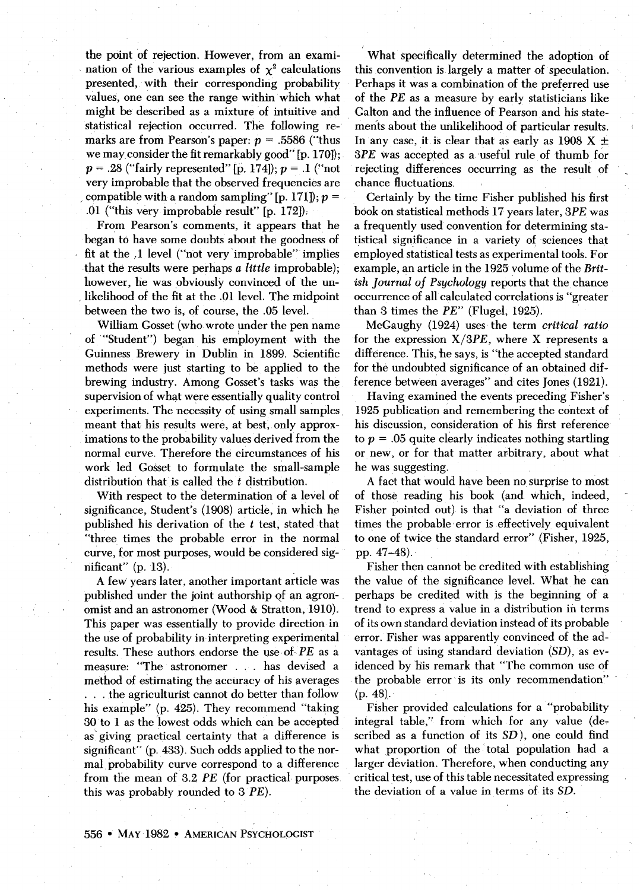the point of rejection. However, from an examination of the various examples of  $\chi^2$  calculations presented, with their corresponding probability values, one can see the range within which what might be described as a mixture of intuitive and statistical rejection occurred. The following remarks are from Pearson's paper: *p* = .5586 ("thus we may consider the fit remarkably good" [p. 170]); *p =* .28 ("fairly represented" [p. 174]); *p =* .1 ("not very improbable that the observed frequencies are compatible with a random sampling" [p. 171]);  $p =$ .01 ("this very improbable result" [p. 172]):

From Pearson's comments, it appears that he began to have some doubts about the goodness of fit at the .1 level ("not very improbable" implies that the results were perhaps *a little* improbable); however, he was obviously convinced of the unlikelihood of the fit at the .01 level. The midpoint between the two is, of course, the .05 level.

William Gosset (who wrote under the pen name of "Student") began his employment with the Guinness Brewery in Dublin in 1899. Scientific methods were just starting to be applied to the brewing industry. Among Gosset's tasks was the supervision of what were essentially quality control experiments. The necessity of using small samples, meant that his results were, at best, only approximations to the probability values derived from the normal curve. Therefore the circumstances of his work led Gosset to formulate the small-sample distribution that is called the *t* distribution.

With respect to the determination of a level of significance, Student's (1908) article, in which he published his derivation of the *t* test, stated that "three times the probable error in the normal curve, for most purposes, would be considered significant" (p. 13).

A few years later, another important article was published under the joint authorship of an agronomist and an astronomer (Wood & Stratton, 1910). This paper was essentially to provide direction in the use of probability in interpreting experimental results. These authors endorse the use of *PE* as a measure: "The astronomer . . . has devised a method of estimating the accuracy of his averages . . . the agriculturist cannot do better than follow his example" (p. 425). They recommend "taking 30 to 1 as the lowest odds which can be accepted as giving practical certainty that a difference is significant" (p. 433). Such odds applied to the normal probability curve correspond to a difference from the mean of 3.2 *PE* (for practical purposes this was probably rounded to 3 PE).

What specifically determined the adoption of this convention is largely a matter of speculation. Perhaps it was a combination of the preferred use of the *PE* as a measure by early statisticians like Galton and the influence of Pearson and his statements about the unlikelihood of particular results. In any case, it is clear that as early as 1908  $X \pm$ 3PE was accepted as a useful rule of thumb for rejecting differences occurring as the result of chance fluctuations.

Certainly by the time Fisher published his first book on statistical methods 17 years later, 3PE was a frequently used convention for determining statistical significance in a variety of sciences that employed statistical tests as experimental tools. For example, an article in the 1925 volume of the *British Journal of Psychology* reports that the chance occurrence of all calculated correlations is "greater than 3 times the *PE"* (Flugel, 1925).

McGaughy (1924) uses the term *critical ratio* for the expression  $X/3PE$ , where X represents a difference. This, he says, is "the accepted standard for the undoubted significance of an obtained difference between averages" and cites Jones (1921).

Having examined the events preceding Fisher's 1925 publication and remembering the context of his discussion, consideration of his first reference to *p =* .05 quite clearly indicates nothing startling or new, or for that matter arbitrary, about what he was suggesting.

A fact that would have been no surprise to most of those reading his book (and which, indeed, Fisher pointed out) is that "a deviation of three times the probable error is effectively equivalent to one of twice the standard error" (Fisher, 1925, pp. 47-48).

Fisher then cannot be credited with establishing the value of the significance level. What he can perhaps be credited with is the beginning of a trend to express a value in a distribution in terms of its own standard deviation instead of its probable error. Fisher was apparently convinced of the advantages of using standard deviation  $(SD)$ , as evidenced by his remark that "The common use of the probable error is its only recommendation" (p. 48),

Fisher provided calculations for a "probability integral table," from which for any value (described as a function of its SD), one could find what proportion of the total population had a larger deviation. Therefore, when conducting any critical test, use of this table necessitated expressing the deviation of a value in terms of its SD.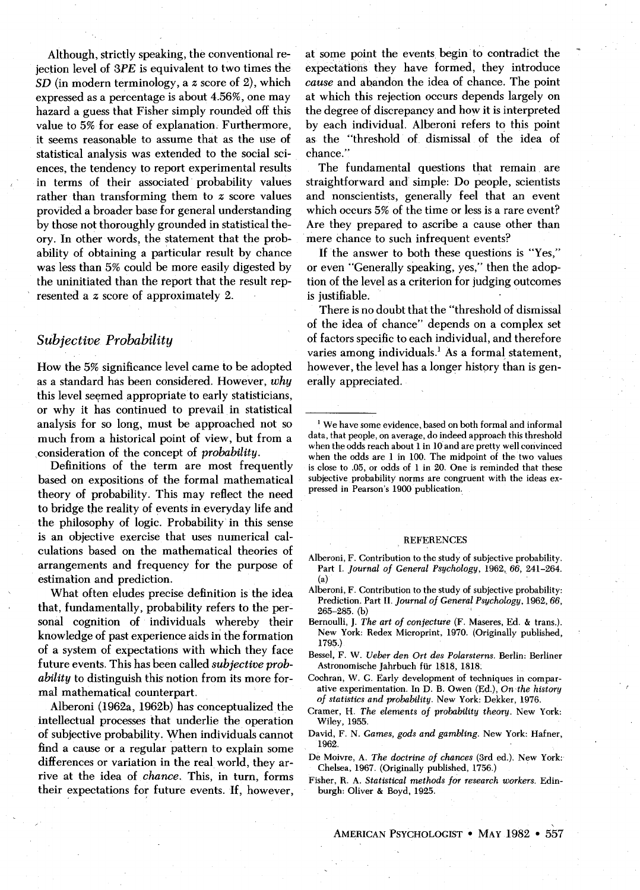Although, strictly speaking, the conventional rejection level of 3PE is equivalent to two times the *SD* (in modern terminology, a *z* score of 2), which expressed as a percentage is about 4.56%, one may hazard a guess that Fisher simply rounded off this value to 5% for ease of explanation. Furthermore, it seems reasonable to assume that as the use of statistical analysis was extended to the social sciences, the tendency to report experimental results in terms of their associated probability values rather than transforming them to *z* score values provided a broader base for general understanding by those not thoroughly grounded in statistical theory. In other words, the statement that the probability of obtaining a particular result by chance was less than 5% could be more easily digested by the uninitiated than the report that the result represented a *z* score of approximately 2.

# *Subjective Probability*

How the 5% significance level came to be adopted as a standard has been considered. However, *why* this level seemed appropriate to early statisticians, or why it has continued to prevail in statistical analysis for so long, must be approached not so much from a historical point of view, but from a consideration of the concept of *probability.*

Definitions of the term are most frequently based on expositions of the formal mathematical theory of probability. This may reflect the need to bridge the reality of events in everyday life and the philosophy of logic. Probability in this sense is an objective exercise that uses numerical calculations based on the mathematical theories of arrangements and frequency for the purpose of estimation and prediction.

What often eludes precise definition is the idea that, fundamentally, probability refers to the personal cognition of individuals whereby their knowledge of past experience aids in the formation of a system of expectations with which they face future events. This has been called *subjective probability* to distinguish this notion from its more formal mathematical counterpart.

Alberoni (1962a, 1962b) has conceptualized the intellectual processes that underlie the operation of subjective probability. When individuals cannot find a cause or a regular pattern to explain some differences or variation in the real world, they arrive at the idea of *chance.* This, in turn, forms their expectations for future events. If, however, at some point the events begin to contradict the expectations they have formed, they introduce *cause* and abandon the idea of chance. The point at which this rejection occurs depends largely on the degree of discrepancy and how it is interpreted by each individual. Alberoni refers to this point as the "threshold of dismissal of the idea of chance."

The fundamental questions that remain are straightforward and simple: Do people, scientists and nonscientists, generally feel that an event which occurs 5% of the time or less is a rare event? Are they prepared to ascribe a cause other than mere chance to such infrequent events?

If the answer to both these questions is "Yes," or even "Generally speaking, yes," then the adoption of the level as a criterion for judging outcomes is justifiable.

There is no doubt that the "threshold of dismissal of the idea of chance" depends on a complex set of factors specific to each individual, and therefore varies among individuals.<sup>1</sup> As a formal statement, however, the level has a longer history than is generally appreciated.

#### REFERENCES

- Alberoni, F. Contribution to the study of subjective probability. Part I. *Journal of General Psychology,* 1962, 66, 241-264. (a)
- Alberoni, F. Contribution to the study of subjective probability: Prediction. Part II. *Journal of General Psychology,* 1962, 66, 265-285. (b) '
- Bernoulli, J. *The art of conjecture* (F. Maseres, Ed. & trans.). New York: Redex Microprint, 1970. (Originally published, 1795.)
- Bessel, F. W. *Ueber den Ort des Polarsterns.* Berlin: Berliner Astronomische Jahrbuch fur 1818, 1818.
- Cochran, W. G. Early development of techniques in comparative experimentation. In D. B. Owen (Ed.), *On the history of statistics and probability.* New York: Dekker, 1976.
- Cramer, H. *The elements of probability theory.* New York: Wiley, 1955.
- David, F. N. *Games, gods and gambling.* New York: Hafner, 1962.
- De Moivre, A. *The doctrine of chances* (3rd ed.). New York: Chelsea, 1967. (Originally published, 1756.)
- Fisher, R. A. *Statistical methods for research workers.* Edinburgh: Oliver & Boyd, 1925.

AMERICAN PSYCHOLOGIST • MAY 1982 • 557

<sup>1</sup> We have some evidence, based on both formal and informal data, that people, on average, do indeed approach this threshold when the odds reach about 1 in 10 and are pretty well convinced when the odds are 1 in 100. The midpoint of the two values is close to .05, or odds of 1 in 20. One is reminded that these subjective probability norms are congruent with the ideas expressed in Pearson's 1900 publication.